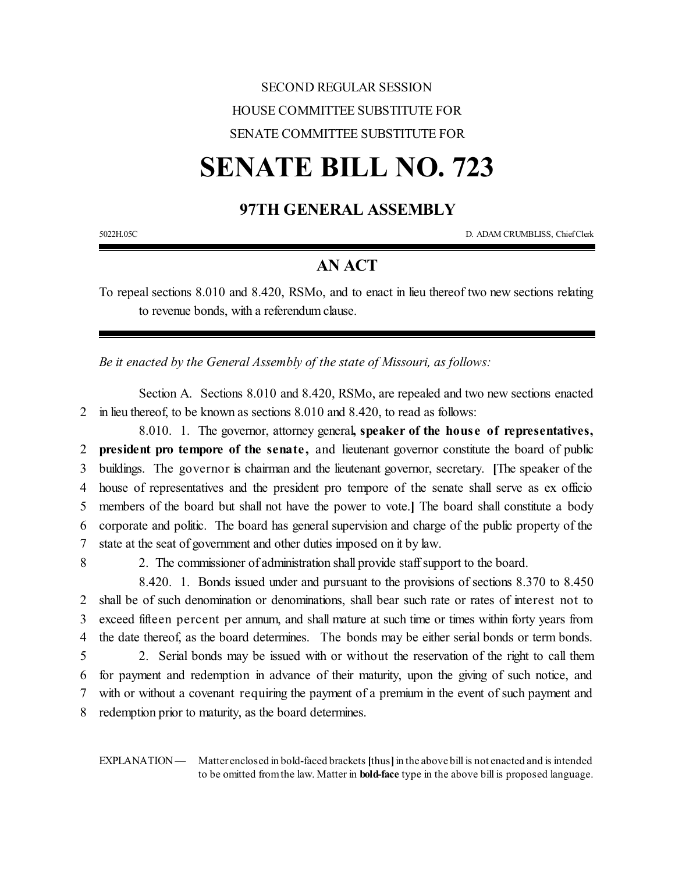## SECOND REGULAR SESSION HOUSE COMMITTEE SUBSTITUTE FOR SENATE COMMITTEE SUBSTITUTE FOR

## **SENATE BILL NO. 723**

## **97TH GENERAL ASSEMBLY**

5022H.05C D. ADAM CRUMBLISS, ChiefClerk

## **AN ACT**

To repeal sections 8.010 and 8.420, RSMo, and to enact in lieu thereof two new sections relating to revenue bonds, with a referendum clause.

*Be it enacted by the General Assembly of the state of Missouri, as follows:*

Section A. Sections 8.010 and 8.420, RSMo, are repealed and two new sections enacted 2 in lieu thereof, to be known as sections 8.010 and 8.420, to read as follows:

8.010. 1. The governor, attorney general**, speaker of the hous e of representatives, president pro tempore of the senate ,** and lieutenant governor constitute the board of public buildings. The governor is chairman and the lieutenant governor, secretary. **[**The speaker of the house of representatives and the president pro tempore of the senate shall serve as ex officio members of the board but shall not have the power to vote.**]** The board shall constitute a body corporate and politic. The board has general supervision and charge of the public property of the state at the seat of government and other duties imposed on it by law.

8 2. The commissioner of administration shall provide staff support to the board.

8.420. 1. Bonds issued under and pursuant to the provisions of sections 8.370 to 8.450 shall be of such denomination or denominations, shall bear such rate or rates of interest not to exceed fifteen percent per annum, and shall mature at such time or times within forty years from the date thereof, as the board determines. The bonds may be either serial bonds or term bonds.

 2. Serial bonds may be issued with or without the reservation of the right to call them for payment and redemption in advance of their maturity, upon the giving of such notice, and with or without a covenant requiring the payment of a premium in the event of such payment and redemption prior to maturity, as the board determines.

EXPLANATION — Matter enclosed in bold-faced brackets **[**thus**]**in the above bill is not enacted and is intended to be omitted fromthe law. Matter in **bold-face** type in the above bill is proposed language.